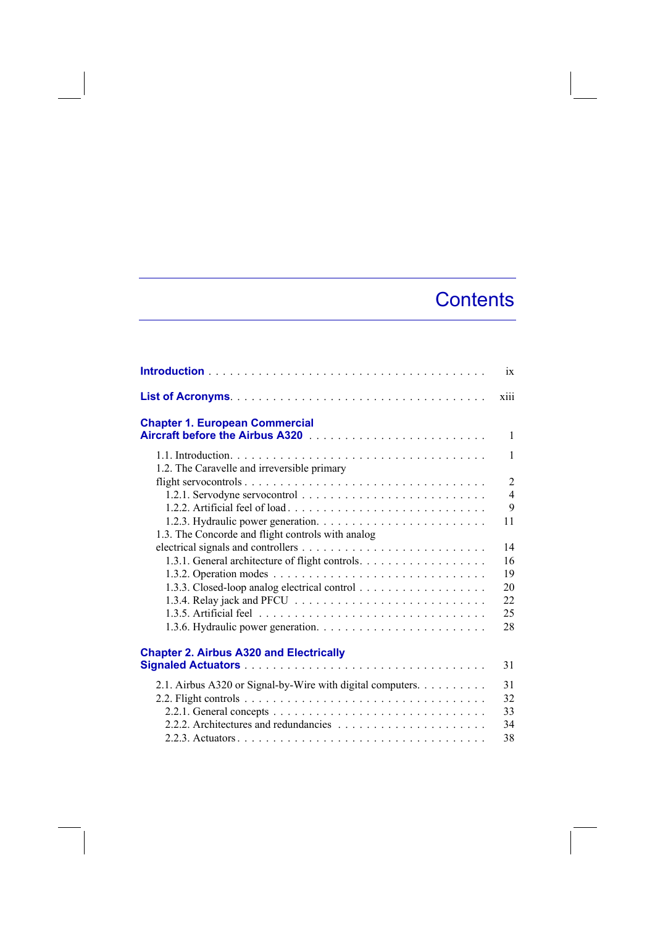## **Contents**

|                                                            | ix                               |
|------------------------------------------------------------|----------------------------------|
|                                                            | xiii                             |
| <b>Chapter 1. European Commercial</b>                      |                                  |
|                                                            | $\mathbf{1}$                     |
|                                                            | 1                                |
| 1.2. The Caravelle and irreversible primary                |                                  |
|                                                            | $\overline{2}$<br>$\overline{4}$ |
|                                                            | 9                                |
|                                                            | 11                               |
| 1.3. The Concorde and flight controls with analog          |                                  |
|                                                            | 14                               |
| 1.3.1. General architecture of flight controls.            | 16                               |
|                                                            | 19                               |
|                                                            | 20                               |
|                                                            | 22                               |
|                                                            | 25                               |
|                                                            | 28                               |
| <b>Chapter 2. Airbus A320 and Electrically</b>             |                                  |
|                                                            | 31                               |
| 2.1. Airbus A320 or Signal-by-Wire with digital computers. | 31                               |
|                                                            | 32                               |
|                                                            | 33                               |
|                                                            | 34                               |
|                                                            | 38                               |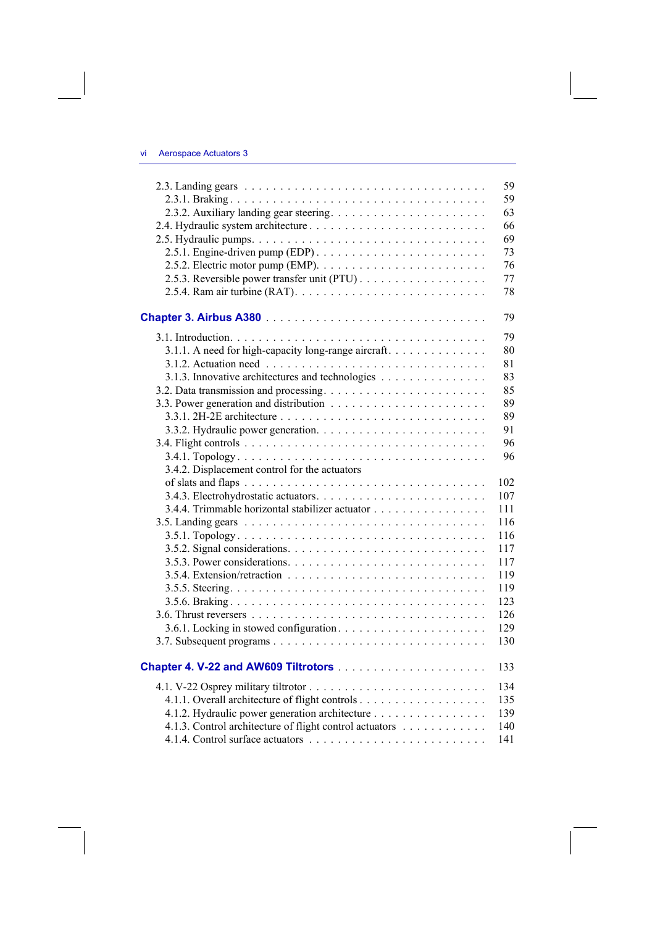|                                                                                          | 59<br>59 |
|------------------------------------------------------------------------------------------|----------|
|                                                                                          | 63       |
|                                                                                          |          |
|                                                                                          | 66       |
|                                                                                          | 69       |
| 2.5.1. Engine-driven pump (EDP). $\dots \dots \dots \dots \dots \dots \dots \dots \dots$ | 73       |
|                                                                                          | 76       |
|                                                                                          | 77       |
|                                                                                          | 78       |
|                                                                                          | 79       |
|                                                                                          | 79       |
| 3.1.1. A need for high-capacity long-range aircraft.                                     | 80       |
|                                                                                          | 81       |
| 3.1.3. Innovative architectures and technologies                                         | 83       |
|                                                                                          | 85       |
|                                                                                          | 89       |
|                                                                                          | 89       |
|                                                                                          | 91       |
|                                                                                          |          |
|                                                                                          | 96       |
|                                                                                          | 96       |
| 3.4.2. Displacement control for the actuators                                            |          |
|                                                                                          | 102      |
|                                                                                          | 107      |
| 3.4.4. Trimmable horizontal stabilizer actuator                                          | 111      |
|                                                                                          |          |
|                                                                                          | 116      |
|                                                                                          | 116      |
|                                                                                          | 117      |
|                                                                                          | 117      |
|                                                                                          | 119      |
|                                                                                          | 119      |
|                                                                                          | 123      |
|                                                                                          |          |
|                                                                                          | 126      |
|                                                                                          | 129      |
|                                                                                          | 130      |
| Chapter 4. V-22 and AW609 Tiltrotors                                                     | 133      |
|                                                                                          | 134      |
|                                                                                          | 135      |
| 4.1.2. Hydraulic power generation architecture                                           | 139      |
| 4.1.3. Control architecture of flight control actuators                                  | 140      |